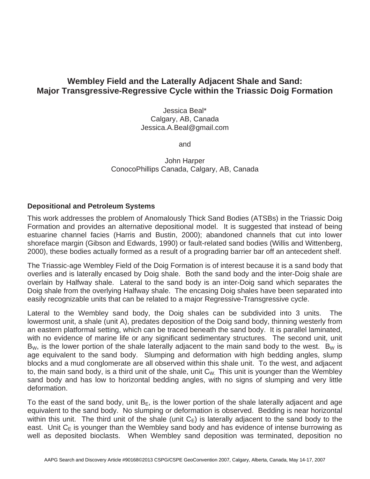## **Wembley Field and the Laterally Adjacent Shale and Sand: Major Transgressive-Regressive Cycle within the Triassic Doig Formation**

Jessica Beal\* Calgary, AB, Canada Jessica.A.Beal@gmail.com

and

John Harper ConocoPhillips Canada, Calgary, AB, Canada

## **Depositional and Petroleum Systems**

This work addresses the problem of Anomalously Thick Sand Bodies (ATSBs) in the Triassic Doig Formation and provides an alternative depositional model. It is suggested that instead of being estuarine channel facies (Harris and Bustin, 2000); abandoned channels that cut into lower shoreface margin (Gibson and Edwards, 1990) or fault-related sand bodies (Willis and Wittenberg, 2000), these bodies actually formed as a result of a prograding barrier bar off an antecedent shelf.

The Triassic-age Wembley Field of the Doig Formation is of interest because it is a sand body that overlies and is laterally encased by Doig shale. Both the sand body and the inter-Doig shale are overlain by Halfway shale. Lateral to the sand body is an inter-Doig sand which separates the Doig shale from the overlying Halfway shale. The encasing Doig shales have been separated into easily recognizable units that can be related to a major Regressive-Transgressive cycle.

Lateral to the Wembley sand body, the Doig shales can be subdivided into 3 units. The lowermost unit, a shale (unit A), predates deposition of the Doig sand body, thinning westerly from an eastern platformal setting, which can be traced beneath the sand body. It is parallel laminated, with no evidence of marine life or any significant sedimentary structures. The second unit, unit  $B_W$ , is the lower portion of the shale laterally adjacent to the main sand body to the west.  $B_W$  is age equivalent to the sand body. Slumping and deformation with high bedding angles, slump blocks and a mud conglomerate are all observed within this shale unit. To the west, and adjacent to, the main sand body, is a third unit of the shale, unit  $C_W$ . This unit is younger than the Wembley sand body and has low to horizontal bedding angles, with no signs of slumping and very little deformation.

To the east of the sand body, unit  $B<sub>E</sub>$ , is the lower portion of the shale laterally adjacent and age equivalent to the sand body. No slumping or deformation is observed. Bedding is near horizontal within this unit. The third unit of the shale (unit  $C_{E}$ ) is laterally adjacent to the sand body to the east. Unit  $C_{E}$  is younger than the Wembley sand body and has evidence of intense burrowing as well as deposited bioclasts. When Wembley sand deposition was terminated, deposition no